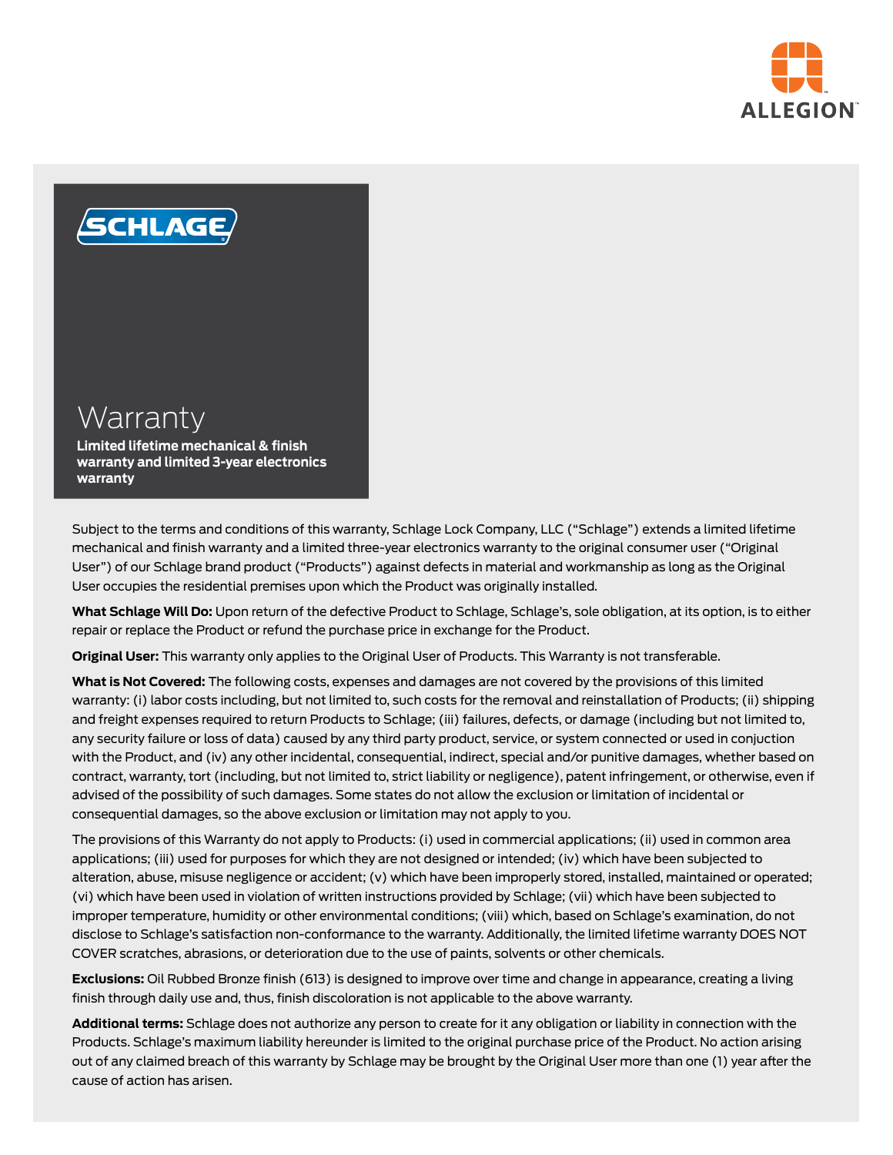



## **Warranty**

**Limited lifetime mechanical & finish warranty and limited 3-year electronics warranty**

Subject to the terms and conditions of this warranty, Schlage Lock Company, LLC ("Schlage") extends a limited lifetime mechanical and finish warranty and a limited three-year electronics warranty to the original consumer user ("Original User") of our Schlage brand product ("Products") against defects in material and workmanship as long as the Original User occupies the residential premises upon which the Product was originally installed.

**What Schlage Will Do:** Upon return of the defective Product to Schlage, Schlage's, sole obligation, at its option, is to either repair or replace the Product or refund the purchase price in exchange for the Product.

**Original User:** This warranty only applies to the Original User of Products. This Warranty is not transferable.

**What is Not Covered:** The following costs, expenses and damages are not covered by the provisions of this limited warranty: (i) labor costs including, but not limited to, such costs for the removal and reinstallation of Products; (ii) shipping and freight expenses required to return Products to Schlage; (iii) failures, defects, or damage (including but not limited to, any security failure or loss of data) caused by any third party product, service, or system connected or used in conjuction with the Product, and (iv) any other incidental, consequential, indirect, special and/or punitive damages, whether based on contract, warranty, tort (including, but not limited to, strict liability or negligence), patent infringement, or otherwise, even if advised of the possibility of such damages. Some states do not allow the exclusion or limitation of incidental or consequential damages, so the above exclusion or limitation may not apply to you.

The provisions of this Warranty do not apply to Products: (i) used in commercial applications; (ii) used in common area applications; (iii) used for purposes for which they are not designed or intended; (iv) which have been subjected to alteration, abuse, misuse negligence or accident; (v) which have been improperly stored, installed, maintained or operated; (vi) which have been used in violation of written instructions provided by Schlage; (vii) which have been subjected to improper temperature, humidity or other environmental conditions; (viii) which, based on Schlage's examination, do not disclose to Schlage's satisfaction non-conformance to the warranty. Additionally, the limited lifetime warranty DOES NOT COVER scratches, abrasions, or deterioration due to the use of paints, solvents or other chemicals.

**Exclusions:** Oil Rubbed Bronze finish (613) is designed to improve over time and change in appearance, creating a living finish through daily use and, thus, finish discoloration is not applicable to the above warranty.

**Additional terms:** Schlage does not authorize any person to create for it any obligation or liability in connection with the Products. Schlage's maximum liability hereunder is limited to the original purchase price of the Product. No action arising out of any claimed breach of this warranty by Schlage may be brought by the Original User more than one (1) year after the cause of action has arisen.